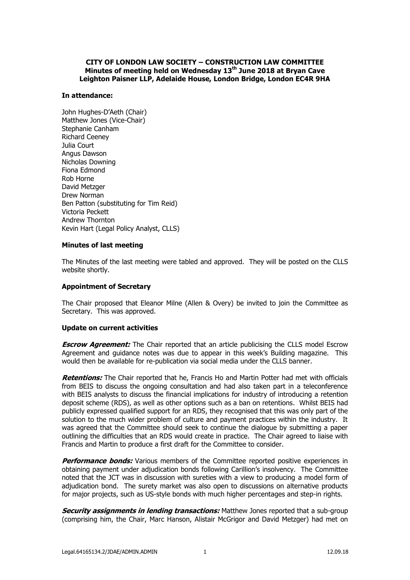# **CITY OF LONDON LAW SOCIETY – CONSTRUCTION LAW COMMITTEE Minutes of meeting held on Wednesday 13th June 2018 at Bryan Cave Leighton Paisner LLP, Adelaide House, London Bridge, London EC4R 9HA**

## **In attendance:**

John Hughes-D'Aeth (Chair) Matthew Jones (Vice-Chair) Stephanie Canham Richard Ceeney Julia Court Angus Dawson Nicholas Downing Fiona Edmond Rob Horne David Metzger Drew Norman Ben Patton (substituting for Tim Reid) Victoria Peckett Andrew Thornton Kevin Hart (Legal Policy Analyst, CLLS)

### **Minutes of last meeting**

The Minutes of the last meeting were tabled and approved. They will be posted on the CLLS website shortly.

### **Appointment of Secretary**

The Chair proposed that Eleanor Milne (Allen & Overy) be invited to join the Committee as Secretary. This was approved.

#### **Update on current activities**

**Escrow Agreement:** The Chair reported that an article publicising the CLLS model Escrow Agreement and guidance notes was due to appear in this week's Building magazine. This would then be available for re-publication via social media under the CLLS banner.

**Retentions:** The Chair reported that he, Francis Ho and Martin Potter had met with officials from BEIS to discuss the ongoing consultation and had also taken part in a teleconference with BEIS analysts to discuss the financial implications for industry of introducing a retention deposit scheme (RDS), as well as other options such as a ban on retentions. Whilst BEIS had publicly expressed qualified support for an RDS, they recognised that this was only part of the solution to the much wider problem of culture and payment practices within the industry. It was agreed that the Committee should seek to continue the dialogue by submitting a paper outlining the difficulties that an RDS would create in practice. The Chair agreed to liaise with Francis and Martin to produce a first draft for the Committee to consider.

**Performance bonds:** Various members of the Committee reported positive experiences in obtaining payment under adjudication bonds following Carillion's insolvency. The Committee noted that the JCT was in discussion with sureties with a view to producing a model form of adjudication bond. The surety market was also open to discussions on alternative products for major projects, such as US-style bonds with much higher percentages and step-in rights.

**Security assignments in lending transactions:** Matthew Jones reported that a sub-group (comprising him, the Chair, Marc Hanson, Alistair McGrigor and David Metzger) had met on